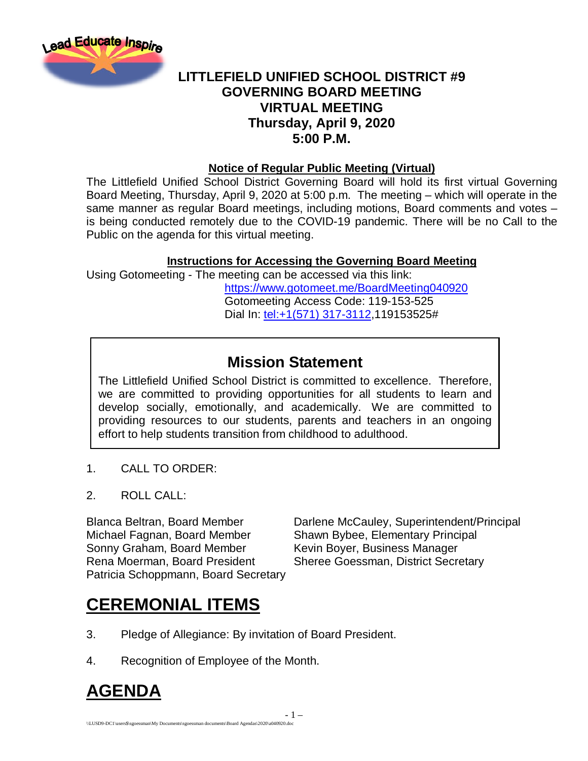

### **LITTLEFIELD UNIFIED SCHOOL DISTRICT #9 GOVERNING BOARD MEETING VIRTUAL MEETING Thursday, April 9, 2020 5:00 P.M.**

#### **Notice of Regular Public Meeting (Virtual)**

The Littlefield Unified School District Governing Board will hold its first virtual Governing Board Meeting, Thursday, April 9, 2020 at 5:00 p.m. The meeting – which will operate in the same manner as regular Board meetings, including motions, Board comments and votes – is being conducted remotely due to the COVID-19 pandemic. There will be no Call to the Public on the agenda for this virtual meeting.

#### **Instructions for Accessing the Governing Board Meeting**

Using Gotomeeting - The meeting can be accessed via this link: <https://www.gotomeet.me/BoardMeeting040920> Gotomeeting Access Code: 119-153-525 Dial In: [tel:+1\(571\) 317-3112,](tel:+1(571)%20317-3112)119153525#

### **Mission Statement**

The Littlefield Unified School District is committed to excellence. Therefore, we are committed to providing opportunities for all students to learn and develop socially, emotionally, and academically. We are committed to providing resources to our students, parents and teachers in an ongoing effort to help students transition from childhood to adulthood.

- 1 –

- 1. CALL TO ORDER:
- 2. ROLL CALL:

Michael Fagnan, Board Member Shawn Bybee, Elementary Principal Sonny Graham, Board Member Kevin Boyer, Business Manager Rena Moerman, Board President Sheree Goessman, District Secretary Patricia Schoppmann, Board Secretary

Blanca Beltran, Board Member Darlene McCauley, Superintendent/Principal

## **CEREMONIAL ITEMS**

- 3. Pledge of Allegiance: By invitation of Board President.
- 4. Recognition of Employee of the Month.

## **AGENDA**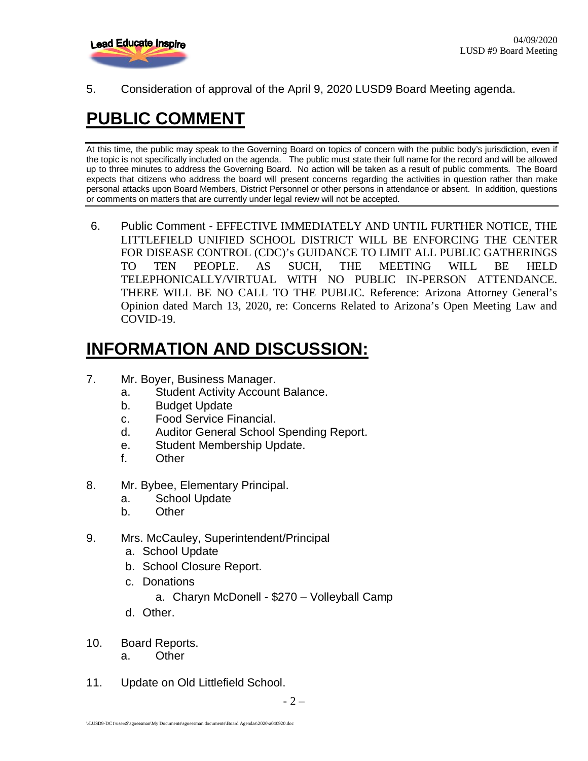

5. Consideration of approval of the April 9, 2020 LUSD9 Board Meeting agenda.

# **PUBLIC COMMENT**

At this time, the public may speak to the Governing Board on topics of concern with the public body's jurisdiction, even if the topic is not specifically included on the agenda. The public must state their full name for the record and will be allowed up to three minutes to address the Governing Board. No action will be taken as a result of public comments. The Board expects that citizens who address the board will present concerns regarding the activities in question rather than make personal attacks upon Board Members, District Personnel or other persons in attendance or absent. In addition, questions or comments on matters that are currently under legal review will not be accepted.

6. Public Comment - EFFECTIVE IMMEDIATELY AND UNTIL FURTHER NOTICE, THE LITTLEFIELD UNIFIED SCHOOL DISTRICT WILL BE ENFORCING THE CENTER FOR DISEASE CONTROL (CDC)'s GUIDANCE TO LIMIT ALL PUBLIC GATHERINGS TO TEN PEOPLE. AS SUCH, THE MEETING WILL BE HELD TELEPHONICALLY/VIRTUAL WITH NO PUBLIC IN-PERSON ATTENDANCE. THERE WILL BE NO CALL TO THE PUBLIC. Reference: Arizona Attorney General's Opinion dated March 13, 2020, re: Concerns Related to Arizona's Open Meeting Law and COVID-19.

## **INFORMATION AND DISCUSSION:**

- 7. Mr. Boyer, Business Manager.
	- a. Student Activity Account Balance.
	- b. Budget Update
	- c. Food Service Financial.
	- d. Auditor General School Spending Report.
	- e. Student Membership Update.
	- f. Other
- 8. Mr. Bybee, Elementary Principal.
	- a. School Update
	- b. Other
- 9. Mrs. McCauley, Superintendent/Principal
	- a. School Update
	- b. School Closure Report.
	- c. Donations
		- a. Charyn McDonell \$270 Volleyball Camp
	- d. Other.
- 10. Board Reports.
	- a. Other
- 11. Update on Old Littlefield School.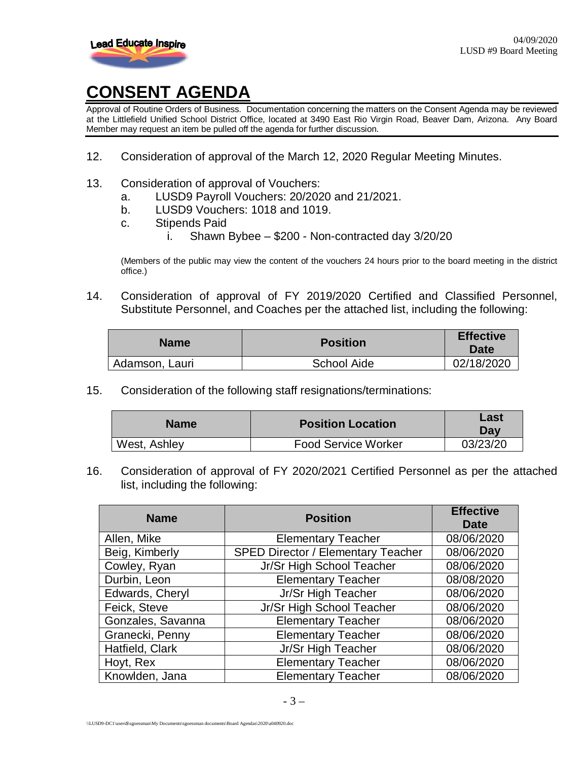

## **CONSENT AGENDA**

Approval of Routine Orders of Business. Documentation concerning the matters on the Consent Agenda may be reviewed at the Littlefield Unified School District Office, located at 3490 East Rio Virgin Road, Beaver Dam, Arizona. Any Board Member may request an item be pulled off the agenda for further discussion.

- 12. Consideration of approval of the March 12, 2020 Regular Meeting Minutes.
- 13. Consideration of approval of Vouchers:
	- a. LUSD9 Payroll Vouchers: 20/2020 and 21/2021.
	- b. LUSD9 Vouchers: 1018 and 1019.
	- c. Stipends Paid
		- i. Shawn Bybee \$200 Non-contracted day 3/20/20

(Members of the public may view the content of the vouchers 24 hours prior to the board meeting in the district office.)

14. Consideration of approval of FY 2019/2020 Certified and Classified Personnel, Substitute Personnel, and Coaches per the attached list, including the following:

| <b>Name</b>    | <b>Position</b> | <b>Effective</b><br><b>Date</b> |
|----------------|-----------------|---------------------------------|
| Adamson, Lauri | School Aide     | 02/18/2020                      |

15. Consideration of the following staff resignations/terminations:

| <b>Name</b>  | <b>Position Location</b>   | Last<br>Dav |
|--------------|----------------------------|-------------|
| West, Ashley | <b>Food Service Worker</b> | 03/23/20    |

16. Consideration of approval of FY 2020/2021 Certified Personnel as per the attached list, including the following:

| <b>Name</b>       | <b>Position</b>                           | <b>Effective</b><br><b>Date</b> |
|-------------------|-------------------------------------------|---------------------------------|
| Allen, Mike       | <b>Elementary Teacher</b>                 | 08/06/2020                      |
| Beig, Kimberly    | <b>SPED Director / Elementary Teacher</b> | 08/06/2020                      |
| Cowley, Ryan      | Jr/Sr High School Teacher                 | 08/06/2020                      |
| Durbin, Leon      | <b>Elementary Teacher</b>                 | 08/08/2020                      |
| Edwards, Cheryl   | Jr/Sr High Teacher                        | 08/06/2020                      |
| Feick, Steve      | Jr/Sr High School Teacher                 | 08/06/2020                      |
| Gonzales, Savanna | <b>Elementary Teacher</b>                 | 08/06/2020                      |
| Granecki, Penny   | <b>Elementary Teacher</b>                 | 08/06/2020                      |
| Hatfield, Clark   | Jr/Sr High Teacher                        | 08/06/2020                      |
| Hoyt, Rex         | <b>Elementary Teacher</b>                 | 08/06/2020                      |
| Knowlden, Jana    | <b>Elementary Teacher</b>                 | 08/06/2020                      |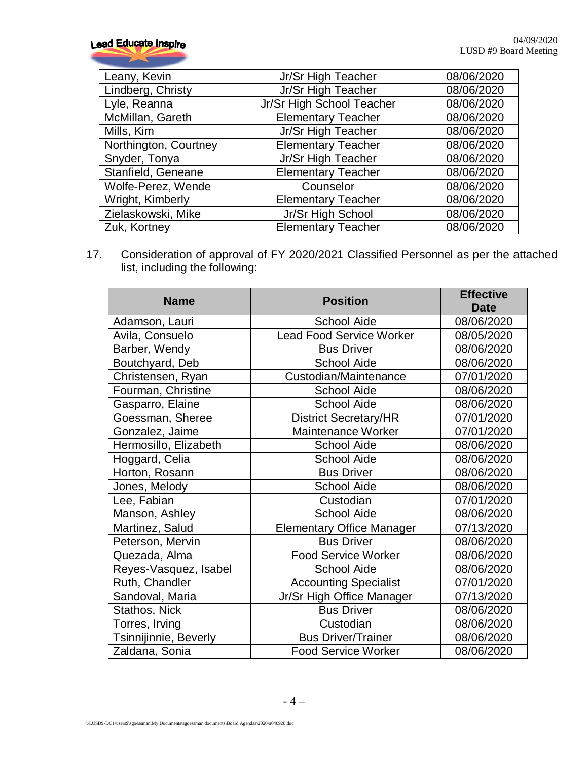| Leany, Kevin          | Jr/Sr High Teacher        | 08/06/2020 |
|-----------------------|---------------------------|------------|
| Lindberg, Christy     | Jr/Sr High Teacher        | 08/06/2020 |
| Lyle, Reanna          | Jr/Sr High School Teacher | 08/06/2020 |
| McMillan, Gareth      | <b>Elementary Teacher</b> | 08/06/2020 |
| Mills, Kim            | Jr/Sr High Teacher        | 08/06/2020 |
| Northington, Courtney | <b>Elementary Teacher</b> | 08/06/2020 |
| Snyder, Tonya         | Jr/Sr High Teacher        | 08/06/2020 |
| Stanfield, Geneane    | <b>Elementary Teacher</b> | 08/06/2020 |
| Wolfe-Perez, Wende    | Counselor                 | 08/06/2020 |
| Wright, Kimberly      | <b>Elementary Teacher</b> | 08/06/2020 |
| Zielaskowski, Mike    | Jr/Sr High School         | 08/06/2020 |
| Zuk, Kortney          | <b>Elementary Teacher</b> | 08/06/2020 |

17. Consideration of approval of FY 2020/2021 Classified Personnel as per the attached list, including the following:

| <b>Name</b>           | <b>Position</b>                  | <b>Effective</b><br><b>Date</b> |
|-----------------------|----------------------------------|---------------------------------|
| Adamson, Lauri        | <b>School Aide</b>               | 08/06/2020                      |
| Avila, Consuelo       | <b>Lead Food Service Worker</b>  | 08/05/2020                      |
| Barber, Wendy         | <b>Bus Driver</b>                | 08/06/2020                      |
| Boutchyard, Deb       | <b>School Aide</b>               | 08/06/2020                      |
| Christensen, Ryan     | Custodian/Maintenance            | 07/01/2020                      |
| Fourman, Christine    | <b>School Aide</b>               | 08/06/2020                      |
| Gasparro, Elaine      | <b>School Aide</b>               | 08/06/2020                      |
| Goessman, Sheree      | <b>District Secretary/HR</b>     | 07/01/2020                      |
| Gonzalez, Jaime       | Maintenance Worker               | 07/01/2020                      |
| Hermosillo, Elizabeth | <b>School Aide</b>               | 08/06/2020                      |
| Hoggard, Celia        | <b>School Aide</b>               | 08/06/2020                      |
| Horton, Rosann        | <b>Bus Driver</b>                | 08/06/2020                      |
| Jones, Melody         | <b>School Aide</b>               | 08/06/2020                      |
| Lee, Fabian           | Custodian                        | 07/01/2020                      |
| Manson, Ashley        | <b>School Aide</b>               | 08/06/2020                      |
| Martinez, Salud       | <b>Elementary Office Manager</b> | 07/13/2020                      |
| Peterson, Mervin      | <b>Bus Driver</b>                | 08/06/2020                      |
| Quezada, Alma         | <b>Food Service Worker</b>       | 08/06/2020                      |
| Reyes-Vasquez, Isabel | <b>School Aide</b>               | 08/06/2020                      |
| Ruth, Chandler        | <b>Accounting Specialist</b>     | 07/01/2020                      |
| Sandoval, Maria       | Jr/Sr High Office Manager        | 07/13/2020                      |
| Stathos, Nick         | <b>Bus Driver</b>                | 08/06/2020                      |
| Torres, Irving        | Custodian                        | 08/06/2020                      |
| Tsinnijinnie, Beverly | <b>Bus Driver/Trainer</b>        | 08/06/2020                      |
| Zaldana, Sonia        | <b>Food Service Worker</b>       | 08/06/2020                      |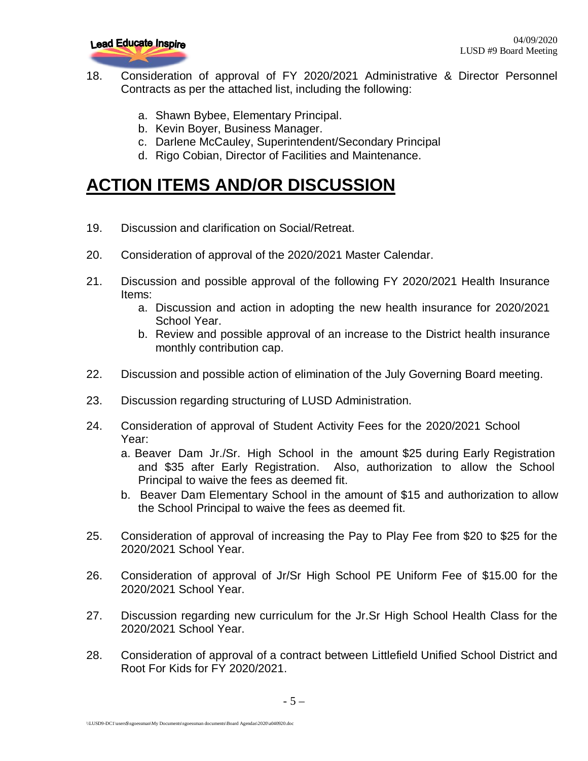

- 18. Consideration of approval of FY 2020/2021 Administrative & Director Personnel Contracts as per the attached list, including the following:
	- a. Shawn Bybee, Elementary Principal.
	- b. Kevin Boyer, Business Manager.
	- c. Darlene McCauley, Superintendent/Secondary Principal
	- d. Rigo Cobian, Director of Facilities and Maintenance.

## **ACTION ITEMS AND/OR DISCUSSION**

- 19. Discussion and clarification on Social/Retreat.
- 20. Consideration of approval of the 2020/2021 Master Calendar.
- 21. Discussion and possible approval of the following FY 2020/2021 Health Insurance Items:
	- a. Discussion and action in adopting the new health insurance for 2020/2021 School Year.
	- b. Review and possible approval of an increase to the District health insurance monthly contribution cap.
- 22. Discussion and possible action of elimination of the July Governing Board meeting.
- 23. Discussion regarding structuring of LUSD Administration.
- 24. Consideration of approval of Student Activity Fees for the 2020/2021 School Year:
	- a. Beaver Dam Jr./Sr. High School in the amount \$25 during Early Registration and \$35 after Early Registration. Also, authorization to allow the School Principal to waive the fees as deemed fit.
	- b. Beaver Dam Elementary School in the amount of \$15 and authorization to allow the School Principal to waive the fees as deemed fit.
- 25. Consideration of approval of increasing the Pay to Play Fee from \$20 to \$25 for the 2020/2021 School Year.
- 26. Consideration of approval of Jr/Sr High School PE Uniform Fee of \$15.00 for the 2020/2021 School Year.
- 27. Discussion regarding new curriculum for the Jr.Sr High School Health Class for the 2020/2021 School Year.
- 28. Consideration of approval of a contract between Littlefield Unified School District and Root For Kids for FY 2020/2021.